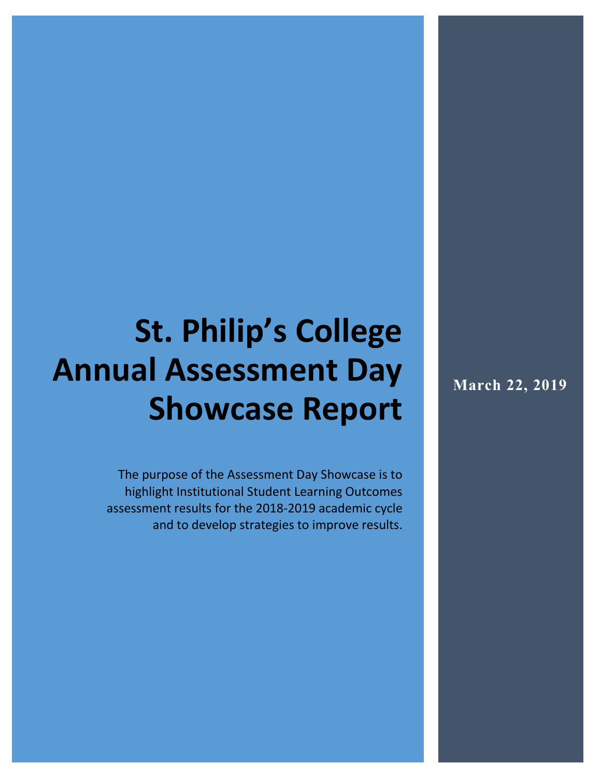# **St. Philip's College Annual Assessment Day Showcase Report**

The purpose of the Assessment Day Showcase is to highlight Institutional Student Learning Outcomes assessment results for the 2018-2019 academic cycle and to develop strategies to improve results. **March 22, 2019**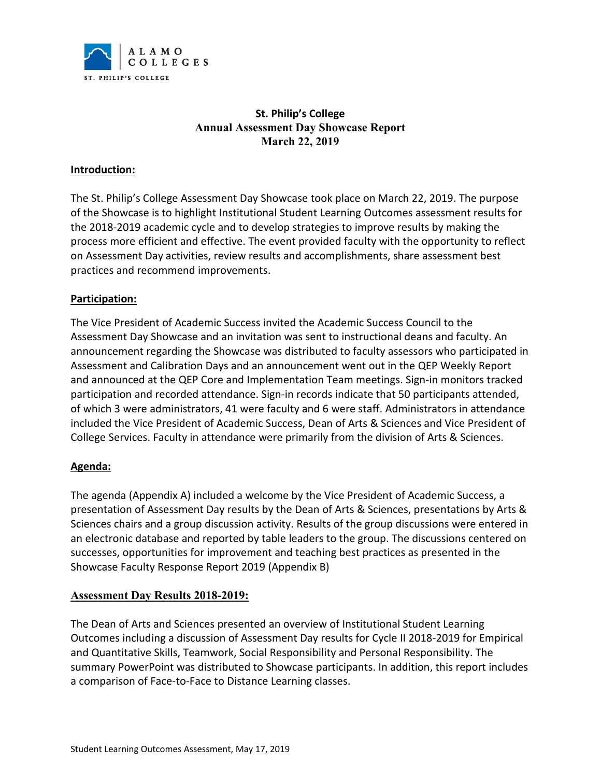

## **St. Philip's College Annual Assessment Day Showcase Report March 22, 2019**

#### **Introduction:**

The St. Philip's College Assessment Day Showcase took place on March 22, 2019. The purpose of the Showcase is to highlight Institutional Student Learning Outcomes assessment results for the 2018-2019 academic cycle and to develop strategies to improve results by making the process more efficient and effective. The event provided faculty with the opportunity to reflect on Assessment Day activities, review results and accomplishments, share assessment best practices and recommend improvements.

#### **Participation:**

The Vice President of Academic Success invited the Academic Success Council to the Assessment Day Showcase and an invitation was sent to instructional deans and faculty. An announcement regarding the Showcase was distributed to faculty assessors who participated in Assessment and Calibration Days and an announcement went out in the QEP Weekly Report and announced at the QEP Core and Implementation Team meetings. Sign-in monitors tracked participation and recorded attendance. Sign-in records indicate that 50 participants attended, of which 3 were administrators, 41 were faculty and 6 were staff. Administrators in attendance included the Vice President of Academic Success, Dean of Arts & Sciences and Vice President of College Services. Faculty in attendance were primarily from the division of Arts & Sciences.

#### **Agenda:**

The agenda (Appendix A) included a welcome by the Vice President of Academic Success, a presentation of Assessment Day results by the Dean of Arts & Sciences, presentations by Arts & Sciences chairs and a group discussion activity. Results of the group discussions were entered in an electronic database and reported by table leaders to the group. The discussions centered on successes, opportunities for improvement and teaching best practices as presented in the Showcase Faculty Response Report 2019 (Appendix B)

## **Assessment Day Results 2018-2019:**

The Dean of Arts and Sciences presented an overview of Institutional Student Learning Outcomes including a discussion of Assessment Day results for Cycle II 2018-2019 for Empirical and Quantitative Skills, Teamwork, Social Responsibility and Personal Responsibility. The summary PowerPoint was distributed to Showcase participants. In addition, this report includes a comparison of Face-to-Face to Distance Learning classes.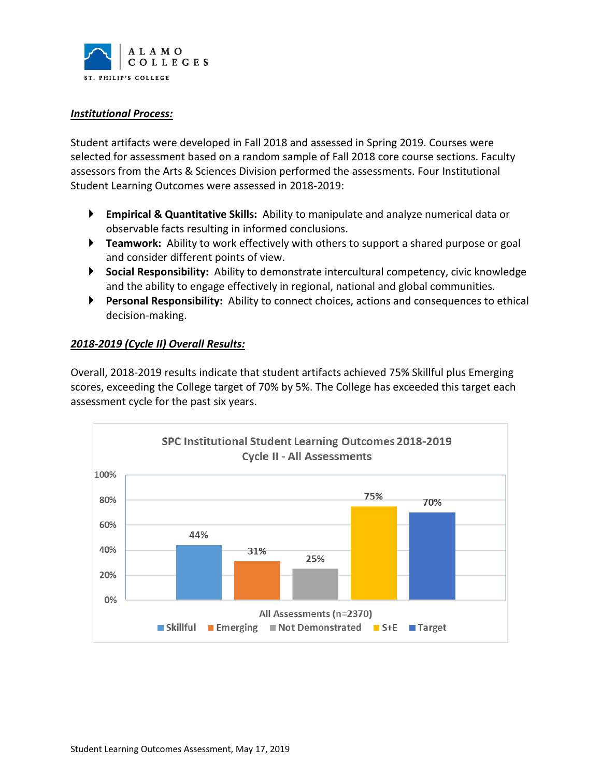

#### *Institutional Process:*

Student artifacts were developed in Fall 2018 and assessed in Spring 2019. Courses were selected for assessment based on a random sample of Fall 2018 core course sections. Faculty assessors from the Arts & Sciences Division performed the assessments. Four Institutional Student Learning Outcomes were assessed in 2018-2019:

- **Empirical & Quantitative Skills:** Ability to manipulate and analyze numerical data or observable facts resulting in informed conclusions.
- **Teamwork:** Ability to work effectively with others to support a shared purpose or goal and consider different points of view.
- **Social Responsibility:** Ability to demonstrate intercultural competency, civic knowledge and the ability to engage effectively in regional, national and global communities.
- **Personal Responsibility:** Ability to connect choices, actions and consequences to ethical decision-making.

#### *2018-2019 (Cycle II) Overall Results:*

Overall, 2018-2019 results indicate that student artifacts achieved 75% Skillful plus Emerging scores, exceeding the College target of 70% by 5%. The College has exceeded this target each assessment cycle for the past six years.

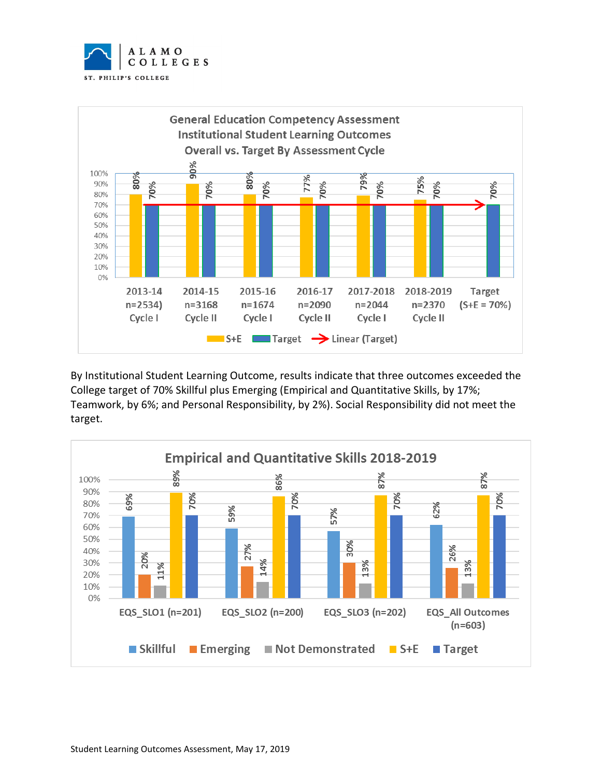



By Institutional Student Learning Outcome, results indicate that three outcomes exceeded the College target of 70% Skillful plus Emerging (Empirical and Quantitative Skills, by 17%; Teamwork, by 6%; and Personal Responsibility, by 2%). Social Responsibility did not meet the target.

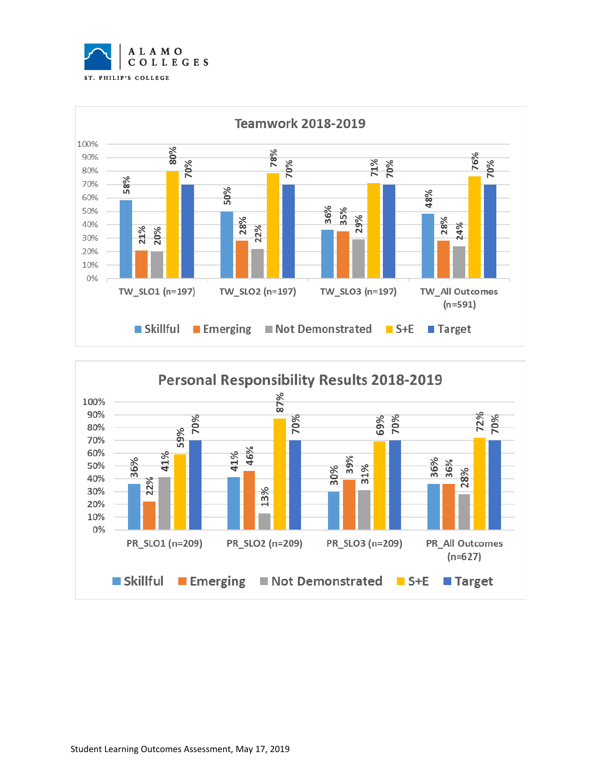



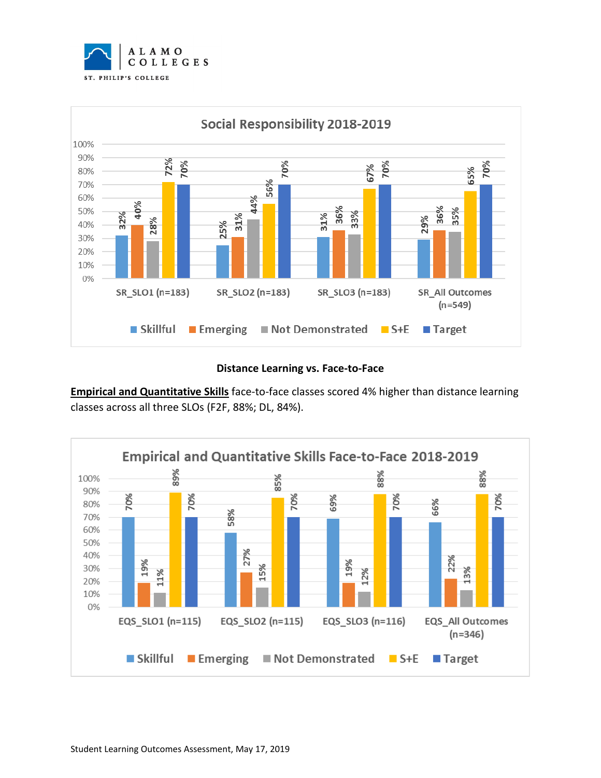



#### **Distance Learning vs. Face-to-Face**

**Empirical and Quantitative Skills** face-to-face classes scored 4% higher than distance learning classes across all three SLOs (F2F, 88%; DL, 84%).

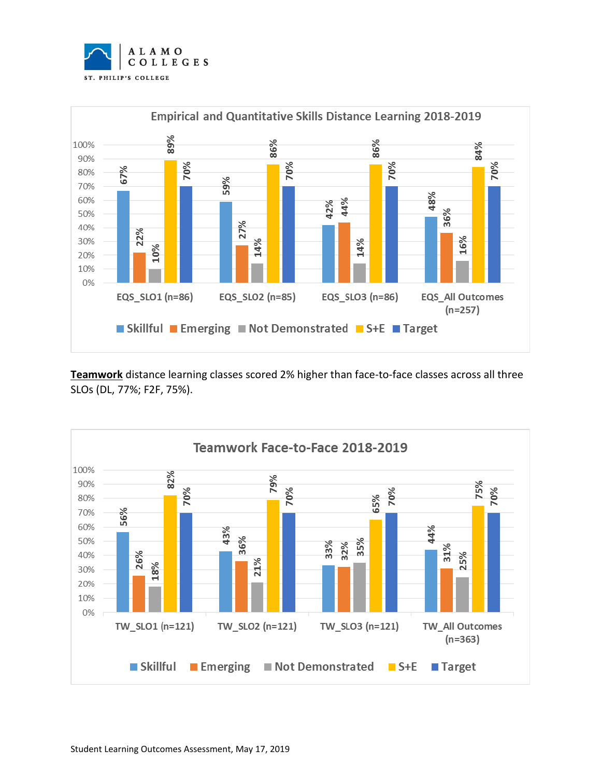



**Teamwork** distance learning classes scored 2% higher than face-to-face classes across all three SLOs (DL, 77%; F2F, 75%).

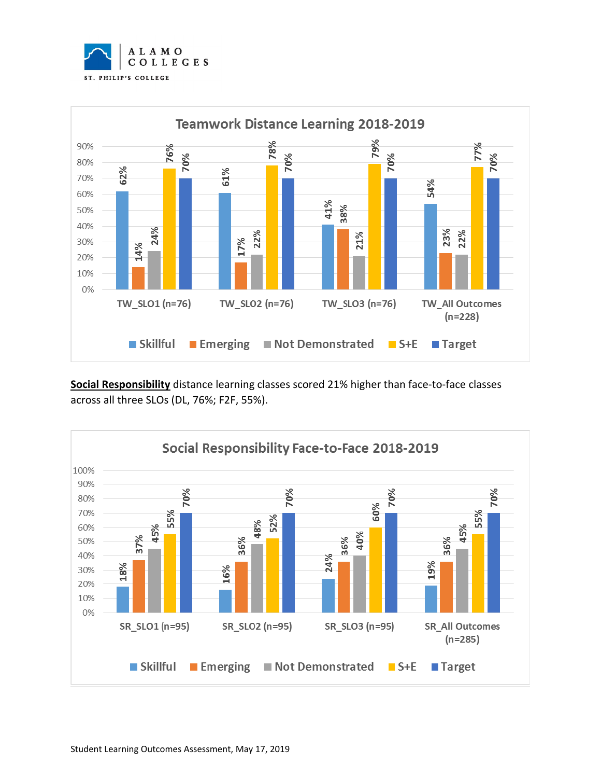



**Social Responsibility** distance learning classes scored 21% higher than face-to-face classes across all three SLOs (DL, 76%; F2F, 55%).

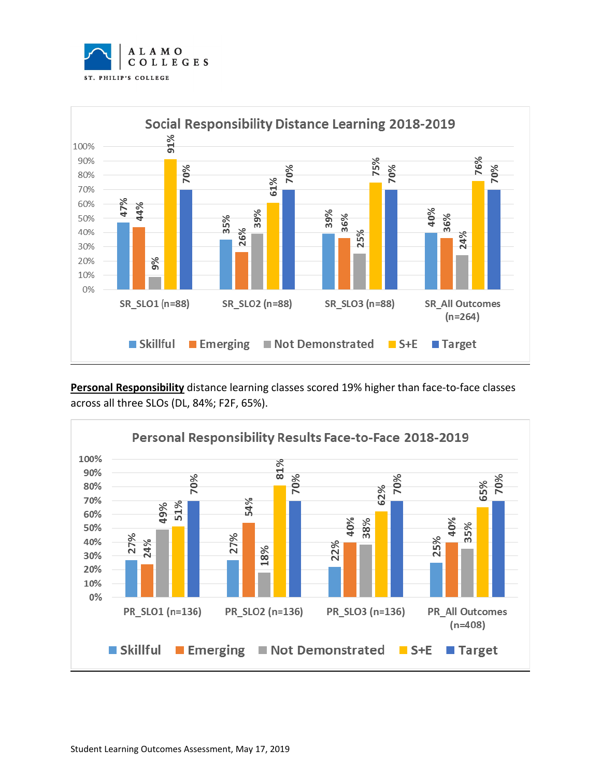



**Personal Responsibility** distance learning classes scored 19% higher than face-to-face classes across all three SLOs (DL, 84%; F2F, 65%).

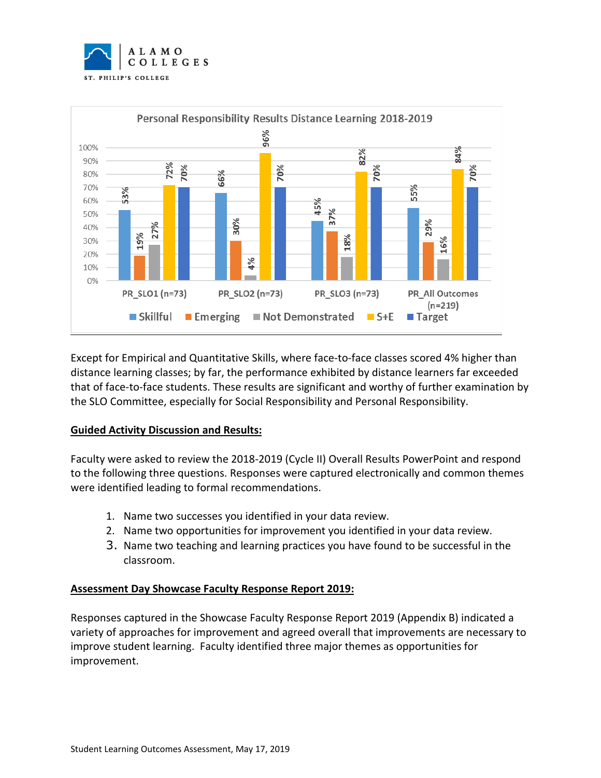



Except for Empirical and Quantitative Skills, where face-to-face classes scored 4% higher than distance learning classes; by far, the performance exhibited by distance learners far exceeded that of face-to-face students. These results are significant and worthy of further examination by the SLO Committee, especially for Social Responsibility and Personal Responsibility.

#### **Guided Activity Discussion and Results:**

Faculty were asked to review the 2018-2019 (Cycle II) Overall Results PowerPoint and respond to the following three questions. Responses were captured electronically and common themes were identified leading to formal recommendations.

- 1. Name two successes you identified in your data review.
- 2. Name two opportunities for improvement you identified in your data review.
- 3. Name two teaching and learning practices you have found to be successful in the classroom.

#### **Assessment Day Showcase Faculty Response Report 2019:**

Responses captured in the Showcase Faculty Response Report 2019 (Appendix B) indicated a variety of approaches for improvement and agreed overall that improvements are necessary to improve student learning. Faculty identified three major themes as opportunities for improvement.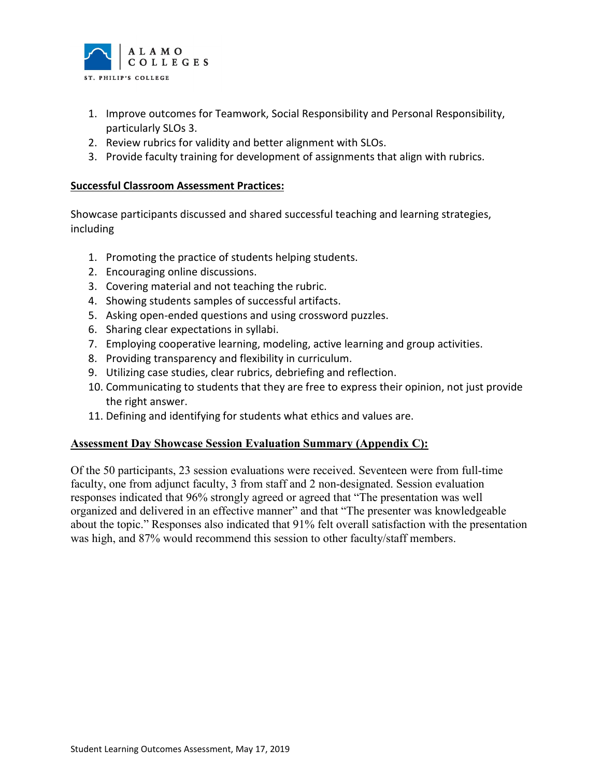

- 1. Improve outcomes for Teamwork, Social Responsibility and Personal Responsibility, particularly SLOs 3.
- 2. Review rubrics for validity and better alignment with SLOs.
- 3. Provide faculty training for development of assignments that align with rubrics.

#### **Successful Classroom Assessment Practices:**

Showcase participants discussed and shared successful teaching and learning strategies, including

- 1. Promoting the practice of students helping students.
- 2. Encouraging online discussions.
- 3. Covering material and not teaching the rubric.
- 4. Showing students samples of successful artifacts.
- 5. Asking open-ended questions and using crossword puzzles.
- 6. Sharing clear expectations in syllabi.
- 7. Employing cooperative learning, modeling, active learning and group activities.
- 8. Providing transparency and flexibility in curriculum.
- 9. Utilizing case studies, clear rubrics, debriefing and reflection.
- 10. Communicating to students that they are free to express their opinion, not just provide the right answer.
- 11. Defining and identifying for students what ethics and values are.

#### **Assessment Day Showcase Session Evaluation Summary (Appendix C):**

Of the 50 participants, 23 session evaluations were received. Seventeen were from full-time faculty, one from adjunct faculty, 3 from staff and 2 non-designated. Session evaluation responses indicated that 96% strongly agreed or agreed that "The presentation was well organized and delivered in an effective manner" and that "The presenter was knowledgeable about the topic." Responses also indicated that 91% felt overall satisfaction with the presentation was high, and 87% would recommend this session to other faculty/staff members.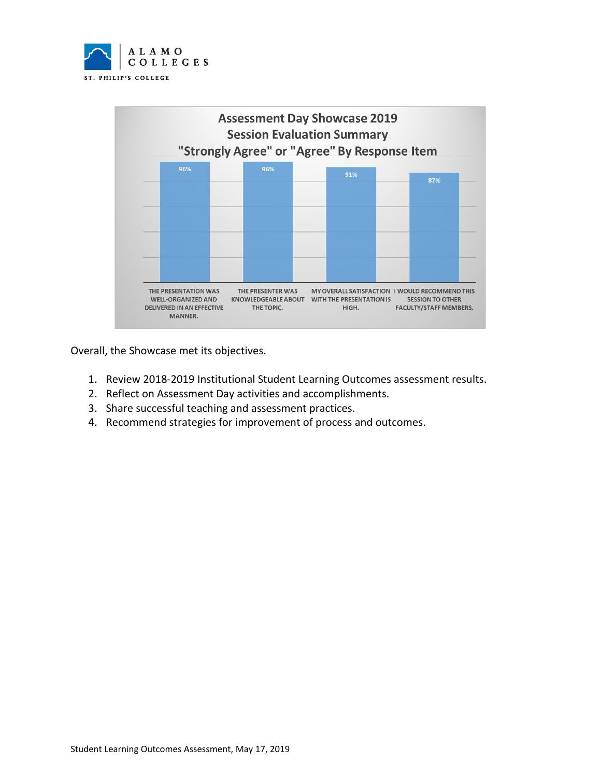



Overall, the Showcase met its objectives.

- 1. Review 2018-2019 Institutional Student Learning Outcomes assessment results.
- 2. Reflect on Assessment Day activities and accomplishments.
- 3. Share successful teaching and assessment practices.
- 4. Recommend strategies for improvement of process and outcomes.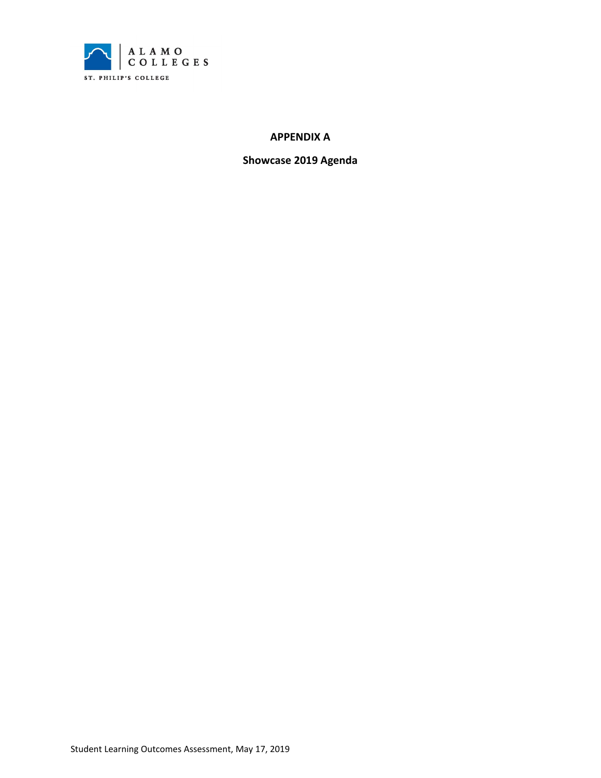

#### **APPENDIX A**

**Showcase 2019 Agenda**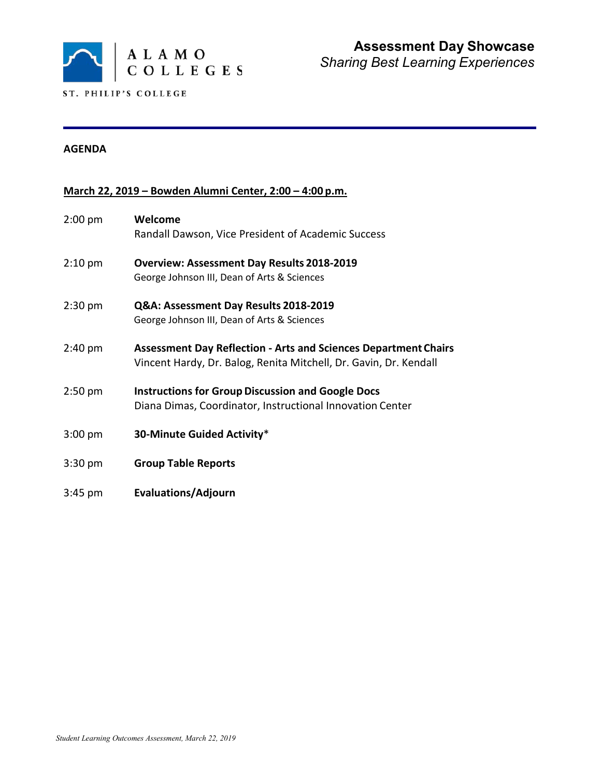

#### **AGENDA**

# **March 22, 2019 – Bowden Alumni Center, 2:00 – 4:00 p.m.**

| $2:00$ pm         | Welcome<br>Randall Dawson, Vice President of Academic Success                                                                               |
|-------------------|---------------------------------------------------------------------------------------------------------------------------------------------|
| $2:10 \text{ pm}$ | <b>Overview: Assessment Day Results 2018-2019</b><br>George Johnson III, Dean of Arts & Sciences                                            |
| $2:30$ pm         | Q&A: Assessment Day Results 2018-2019<br>George Johnson III, Dean of Arts & Sciences                                                        |
| $2:40 \text{ pm}$ | <b>Assessment Day Reflection - Arts and Sciences Department Chairs</b><br>Vincent Hardy, Dr. Balog, Renita Mitchell, Dr. Gavin, Dr. Kendall |
| $2:50$ pm         | <b>Instructions for Group Discussion and Google Docs</b><br>Diana Dimas, Coordinator, Instructional Innovation Center                       |
| $3:00$ pm         | 30-Minute Guided Activity*                                                                                                                  |
| $3:30$ pm         | <b>Group Table Reports</b>                                                                                                                  |
| $3:45$ pm         | <b>Evaluations/Adjourn</b>                                                                                                                  |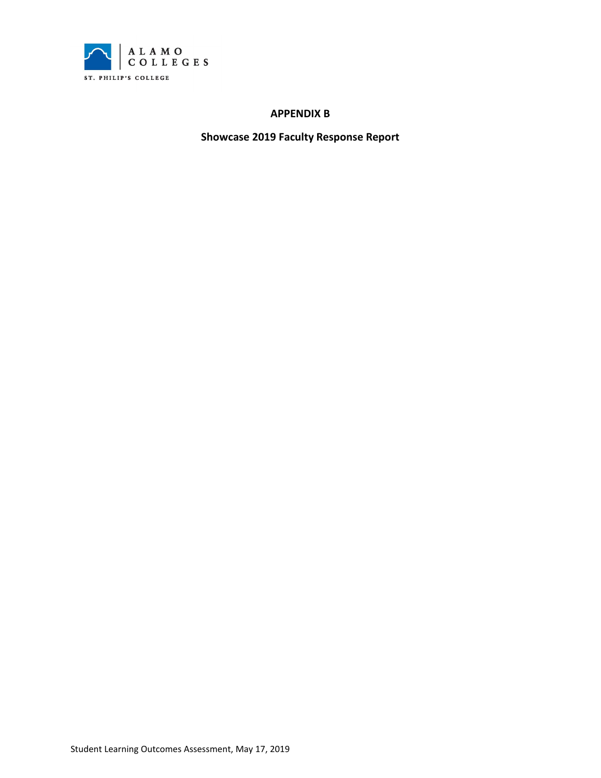

#### **APPENDIX B**

**Showcase 2019 Faculty Response Report**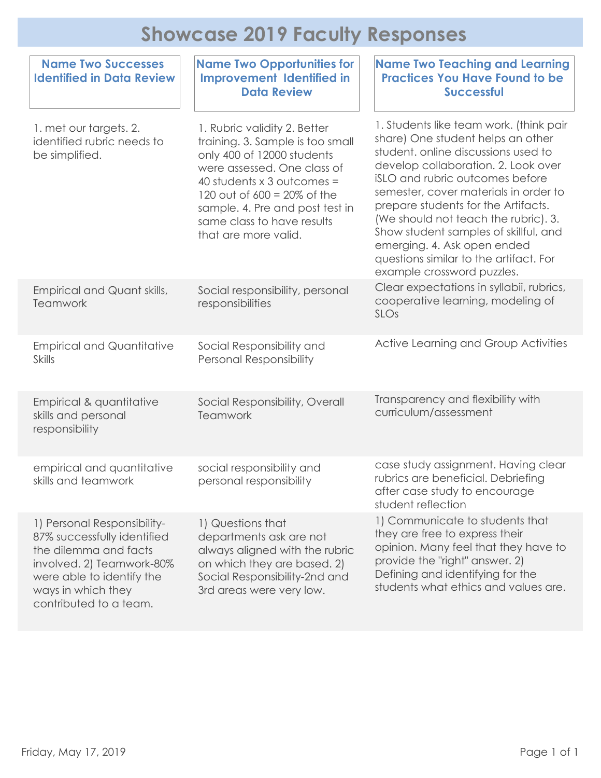# **Showcase 2019 Faculty Responses**

| <b>Name Two Successes</b><br><b>Identified in Data Review</b>                                                                                                                                 | <b>Name Two Opportunities for</b><br><b>Improvement Identified in</b><br><b>Data Review</b>                                                                                                                                                                                                   | <b>Name Two Teaching and Learning</b><br><b>Practices You Have Found to be</b><br><b>Successful</b>                                                                                                                                                                                                                                                                                                                                                                   |  |  |  |
|-----------------------------------------------------------------------------------------------------------------------------------------------------------------------------------------------|-----------------------------------------------------------------------------------------------------------------------------------------------------------------------------------------------------------------------------------------------------------------------------------------------|-----------------------------------------------------------------------------------------------------------------------------------------------------------------------------------------------------------------------------------------------------------------------------------------------------------------------------------------------------------------------------------------------------------------------------------------------------------------------|--|--|--|
| 1. met our targets. 2.<br>identified rubric needs to<br>be simplified.                                                                                                                        | 1. Rubric validity 2. Better<br>training. 3. Sample is too small<br>only 400 of 12000 students<br>were assessed. One class of<br>40 students $\times$ 3 outcomes =<br>120 out of $600 = 20\%$ of the<br>sample. 4. Pre and post test in<br>same class to have results<br>that are more valid. | 1. Students like team work. (think pair<br>share) One student helps an other<br>student, online discussions used to<br>develop collaboration. 2. Look over<br>iSLO and rubric outcomes before<br>semester, cover materials in order to<br>prepare students for the Artifacts.<br>(We should not teach the rubric). 3.<br>Show student samples of skillful, and<br>emerging. 4. Ask open ended<br>questions similar to the artifact. For<br>example crossword puzzles. |  |  |  |
| Empirical and Quant skills,<br>Teamwork                                                                                                                                                       | Social responsibility, personal<br>responsibilities                                                                                                                                                                                                                                           | Clear expectations in syllabii, rubrics,<br>cooperative learning, modeling of<br>SLOs                                                                                                                                                                                                                                                                                                                                                                                 |  |  |  |
| <b>Empirical and Quantitative</b><br><b>Skills</b>                                                                                                                                            | Social Responsibility and<br><b>Personal Responsibility</b>                                                                                                                                                                                                                                   | Active Learning and Group Activities                                                                                                                                                                                                                                                                                                                                                                                                                                  |  |  |  |
| Empirical & quantitative<br>skills and personal<br>responsibility                                                                                                                             | Social Responsibility, Overall<br>Teamwork                                                                                                                                                                                                                                                    | Transparency and flexibility with<br>curriculum/assessment                                                                                                                                                                                                                                                                                                                                                                                                            |  |  |  |
| empirical and quantitative<br>skills and teamwork                                                                                                                                             | social responsibility and<br>personal responsibility                                                                                                                                                                                                                                          | case study assignment. Having clear<br>rubrics are beneficial. Debriefing<br>after case study to encourage<br>student reflection                                                                                                                                                                                                                                                                                                                                      |  |  |  |
| 1) Personal Responsibility-<br>87% successfully identified<br>the dilemma and facts<br>involved. 2) Teamwork-80%<br>were able to identify the<br>ways in which they<br>contributed to a team. | 1) Questions that<br>departments ask are not<br>always aligned with the rubric<br>on which they are based. 2)<br>Social Responsibility-2nd and<br>3rd areas were very low.                                                                                                                    | 1) Communicate to students that<br>they are free to express their<br>opinion. Many feel that they have to<br>provide the "right" answer. 2)<br>Defining and identifying for the<br>students what ethics and values are.                                                                                                                                                                                                                                               |  |  |  |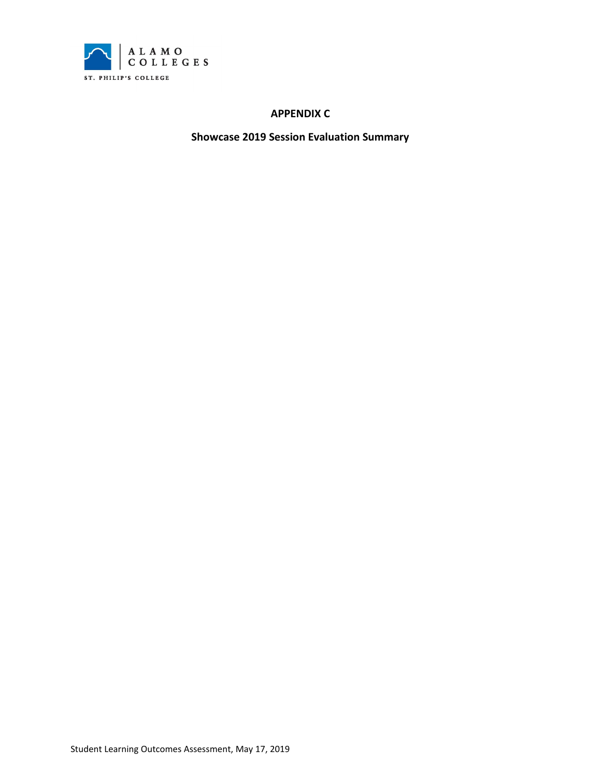

#### **APPENDIX C**

**Showcase 2019 Session Evaluation Summary**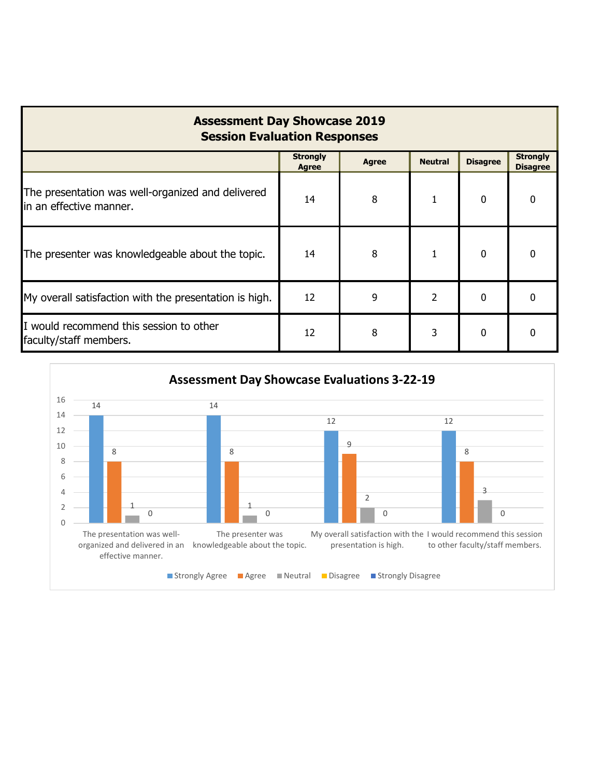| <b>Assessment Day Showcase 2019</b><br><b>Session Evaluation Responses</b>    |                          |              |                |                 |                                    |  |  |  |
|-------------------------------------------------------------------------------|--------------------------|--------------|----------------|-----------------|------------------------------------|--|--|--|
|                                                                               | <b>Strongly</b><br>Agree | <b>Agree</b> | <b>Neutral</b> | <b>Disagree</b> | <b>Strongly</b><br><b>Disagree</b> |  |  |  |
| The presentation was well-organized and delivered<br>lin an effective manner. | 14                       | 8            | 1              | 0               | 0                                  |  |  |  |
| The presenter was knowledgeable about the topic.                              | 14                       | 8            | 1              | $\Omega$        | <sup>0</sup>                       |  |  |  |
| My overall satisfaction with the presentation is high.                        | 12                       | 9            | 2              | $\Omega$        | 0                                  |  |  |  |
| I would recommend this session to other<br>faculty/staff members.             | 12                       | 8            | 3              | 0               | 0                                  |  |  |  |

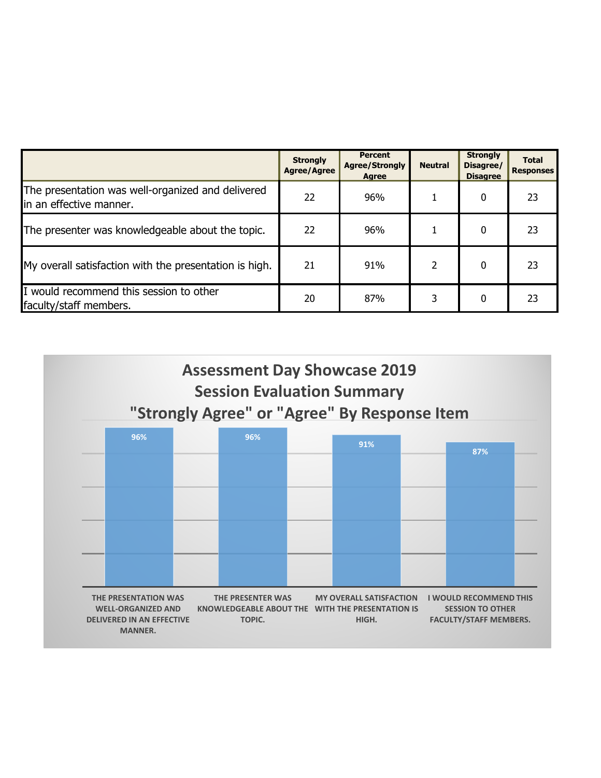|                                                                              | <b>Strongly</b><br><b>Agree/Agree</b> | <b>Percent</b><br><b>Agree/Strongly</b><br><b>Agree</b> | <b>Neutral</b> | <b>Strongly</b><br>Disagree/<br><b>Disagree</b> | <b>Total</b><br><b>Responses</b> |
|------------------------------------------------------------------------------|---------------------------------------|---------------------------------------------------------|----------------|-------------------------------------------------|----------------------------------|
| The presentation was well-organized and delivered<br>in an effective manner. | 22                                    | 96%                                                     |                | 0                                               | 23                               |
| The presenter was knowledgeable about the topic.                             | 22                                    | 96%                                                     |                | 0                                               | 23                               |
| My overall satisfaction with the presentation is high.                       | 21                                    | 91%                                                     | 2              | $\Omega$                                        | 23                               |
| I would recommend this session to other<br>faculty/staff members.            | 20                                    | 87%                                                     | 3              | 0                                               | 23                               |